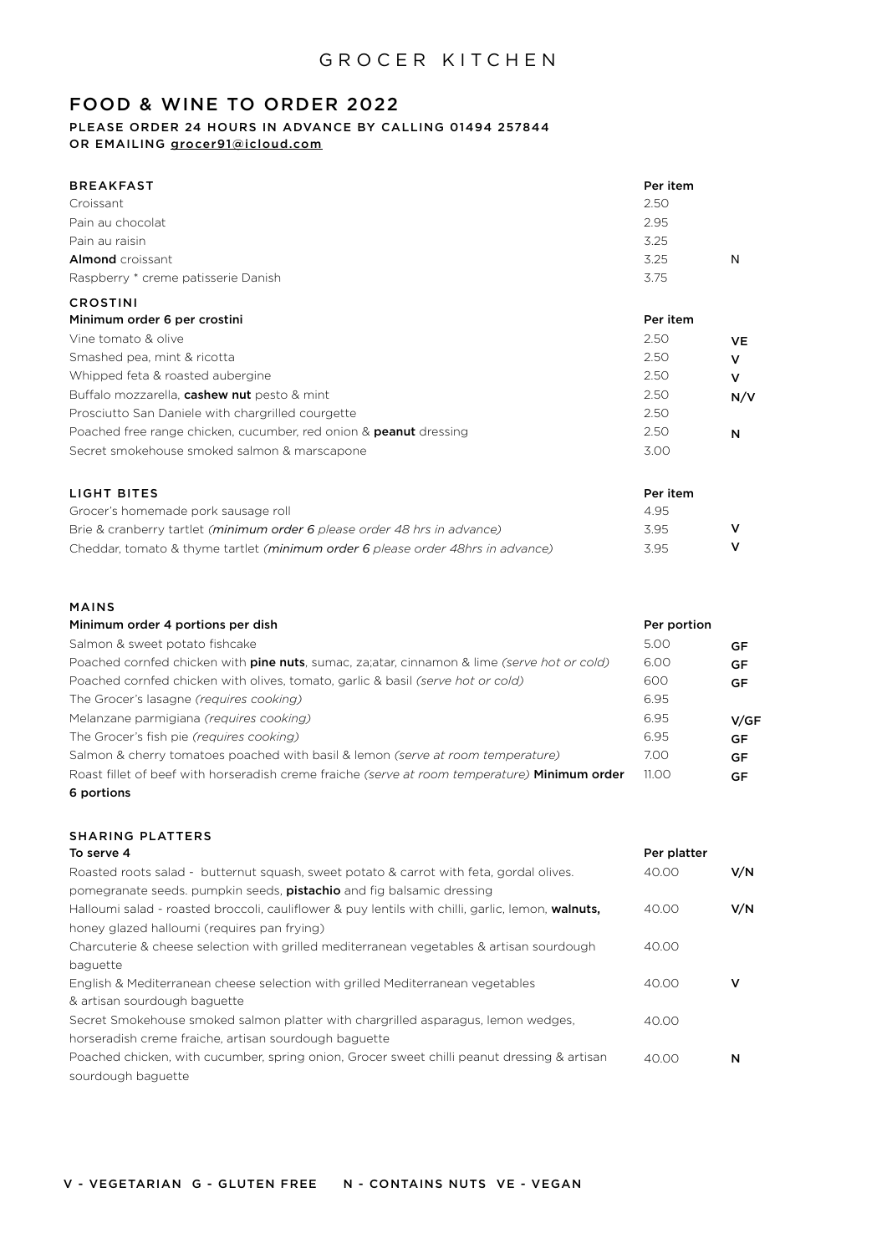## FOOD & WINE TO ORDER 2022

#### PLEASE ORDER 24 HOURS IN ADVANCE BY CALLING 01494 257844 OR EMAILING [grocer91@icloud.com](mailto:grocer91@icloud.com)

| <b>BREAKFAST</b>                                                         | Per item |     |
|--------------------------------------------------------------------------|----------|-----|
| Croissant                                                                | 2.50     |     |
| Pain au chocolat                                                         | 2.95     |     |
| Pain au raisin                                                           | 3.25     |     |
| <b>Almond</b> croissant                                                  | 3.25     | N   |
| Raspberry * creme patisserie Danish                                      | 3.75     |     |
| <b>CROSTINI</b>                                                          |          |     |
| Minimum order 6 per crostini                                             | Per item |     |
| Vine tomato & olive                                                      | 2.50     | VE  |
| Smashed pea, mint & ricotta                                              | 2.50     | v   |
| Whipped feta & roasted aubergine                                         | 2.50     | v   |
| Buffalo mozzarella, cashew nut pesto & mint                              | 2.50     | N/V |
| Prosciutto San Daniele with chargrilled courgette                        | 2.50     |     |
| Poached free range chicken, cucumber, red onion & <b>peanut</b> dressing | 2.50     | N   |
| Secret smokehouse smoked salmon & marscapone                             | 3.00     |     |
| <b>IIGHT RITES</b>                                                       | Dor itom |     |

| LIGHT BILES                                                                     | - Per item |  |
|---------------------------------------------------------------------------------|------------|--|
| Grocer's homemade pork sausage roll                                             | 4.95       |  |
| Brie & cranberry tartlet (minimum order 6 please order 48 hrs in advance)       | 3.95       |  |
| Cheddar, tomato & thyme tartlet (minimum order 6 please order 48hrs in advance) | 3.95       |  |

#### MAINS

| Minimum order 4 portions per dish                                                                    | Per portion |           |
|------------------------------------------------------------------------------------------------------|-------------|-----------|
| Salmon & sweet potato fishcake                                                                       | 5.00        | GF        |
| Poached cornfed chicken with <b>pine nuts</b> , sumac, za; atar, cinnamon & lime (serve hot or cold) | 6.00        | <b>GF</b> |
| Poached cornfed chicken with olives, tomato, garlic & basil (serve hot or cold)                      | 600         | <b>GF</b> |
| The Grocer's lasagne (requires cooking)                                                              | 6.95        |           |
| Melanzane parmigiana (requires cooking)                                                              | 6.95        | V/GF      |
| The Grocer's fish pie (requires cooking)                                                             | 6.95        | <b>GF</b> |
| Salmon & cherry tomatoes poached with basil & lemon (serve at room temperature)                      | 7.00        | <b>GF</b> |
| Roast fillet of beef with horseradish creme fraiche (serve at room temperature) <b>Minimum order</b> | 11.00       | <b>GF</b> |
| 6 portions                                                                                           |             |           |

#### SHARING PLATTERS To serve 4

| To serve 4                                                                                        | Per platter |     |
|---------------------------------------------------------------------------------------------------|-------------|-----|
| Roasted roots salad - butternut squash, sweet potato & carrot with feta, gordal olives.           | 40.00       | V/N |
| pomegranate seeds, pumpkin seeds, <b>pistachio</b> and fig balsamic dressing                      |             |     |
| Halloumi salad - roasted broccoli, cauliflower & puy lentils with chilli, garlic, lemon, walnuts, | 40.00       | V/N |
| honey glazed halloumi (requires pan frying)                                                       |             |     |
| Charcuterie & cheese selection with grilled mediterranean vegetables & artisan sourdough          | 40.00       |     |
| baquette                                                                                          |             |     |
| English & Mediterranean cheese selection with grilled Mediterranean vegetables                    | 40.00       | v   |
| & artisan sourdough baguette                                                                      |             |     |
| Secret Smokehouse smoked salmon platter with chargrilled asparagus, lemon wedges,                 | 40.00       |     |
| horseradish creme fraiche, artisan sourdough baquette                                             |             |     |
| Poached chicken, with cucumber, spring onion, Grocer sweet chilli peanut dressing & artisan       | 40.00       | N   |
| sourdough baguette                                                                                |             |     |